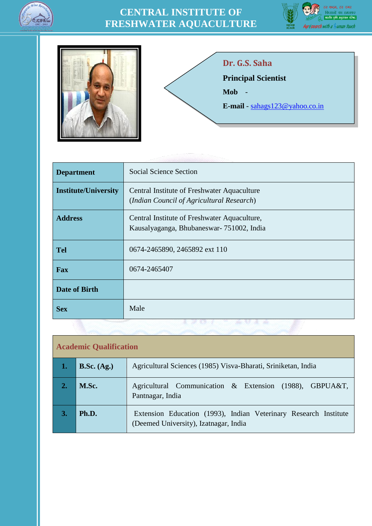

## **CENTRAL INSTITUTE OF FRESHWATER AQUACULTURE**





**Dr. G.S. Saha**

**Principal Scientist**

**Mob** -

**E-mail** - [sahags123@yahoo.co.in](mailto:sahags123@yahoo.co.in)

| <b>Department</b>           | <b>Social Science Section</b>                                                            |
|-----------------------------|------------------------------------------------------------------------------------------|
| <b>Institute/University</b> | Central Institute of Freshwater Aquaculture<br>(Indian Council of Agricultural Research) |
| <b>Address</b>              | Central Institute of Freshwater Aquaculture,<br>Kausalyaganga, Bhubaneswar-751002, India |
| <b>Tel</b>                  | 0674-2465890, 2465892 ext 110                                                            |
| <b>Fax</b>                  | 0674-2465407                                                                             |
| <b>Date of Birth</b>        |                                                                                          |
| <b>Sex</b>                  | Male                                                                                     |

| <b>Academic Qualification</b> |                      |                                                                                                           |
|-------------------------------|----------------------|-----------------------------------------------------------------------------------------------------------|
| 1.                            | <b>B.Sc.</b> $(Ag.)$ | Agricultural Sciences (1985) Visva-Bharati, Sriniketan, India                                             |
| 2.                            | M.Sc.                | Agricultural Communication & Extension (1988), GBPUA&T,<br>Pantnagar, India                               |
| 3.                            | Ph.D.                | Extension Education (1993), Indian Veterinary Research Institute<br>(Deemed University), Izatnagar, India |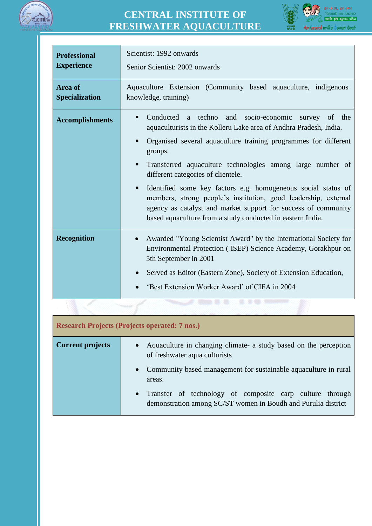

## **CENTRAL INSTITUTE OF FRESHWATER AQUACULTURE**



| <b>Professional</b>    | Scientist: 1992 onwards                                                                                                                                                                                                                                                                                                                                                                                                                                                                                                                                                                       |
|------------------------|-----------------------------------------------------------------------------------------------------------------------------------------------------------------------------------------------------------------------------------------------------------------------------------------------------------------------------------------------------------------------------------------------------------------------------------------------------------------------------------------------------------------------------------------------------------------------------------------------|
| <b>Experience</b>      | Senior Scientist: 2002 onwards                                                                                                                                                                                                                                                                                                                                                                                                                                                                                                                                                                |
| Area of                | Aquaculture Extension (Community based aquaculture, indigenous                                                                                                                                                                                                                                                                                                                                                                                                                                                                                                                                |
| <b>Specialization</b>  | knowledge, training)                                                                                                                                                                                                                                                                                                                                                                                                                                                                                                                                                                          |
| <b>Accomplishments</b> | Conducted a techno and socio-economic survey of the<br>aquaculturists in the Kolleru Lake area of Andhra Pradesh, India.<br>Organised several aquaculture training programmes for different<br>٠<br>groups.<br>Transferred aquaculture technologies among large number of<br>٠<br>different categories of clientele.<br>Identified some key factors e.g. homogeneous social status of<br>٠<br>members, strong people's institution, good leadership, external<br>agency as catalyst and market support for success of community<br>based aquaculture from a study conducted in eastern India. |
| <b>Recognition</b>     | Awarded "Young Scientist Award" by the International Society for<br>Environmental Protection (ISEP) Science Academy, Gorakhpur on<br>5th September in 2001<br>Served as Editor (Eastern Zone), Society of Extension Education,<br>$\bullet$<br>'Best Extension Worker Award' of CIFA in 2004                                                                                                                                                                                                                                                                                                  |

| <b>Research Projects (Projects operated: 7 nos.)</b> |                                                                                                                                                                         |  |
|------------------------------------------------------|-------------------------------------------------------------------------------------------------------------------------------------------------------------------------|--|
| <b>Current projects</b>                              | • Aquaculture in changing climate a study based on the perception<br>of freshwater aqua culturists<br>• Community based management for sustainable aquaculture in rural |  |
|                                                      | areas.                                                                                                                                                                  |  |
|                                                      | • Transfer of technology of composite carp culture through<br>demonstration among SC/ST women in Boudh and Purulia district                                             |  |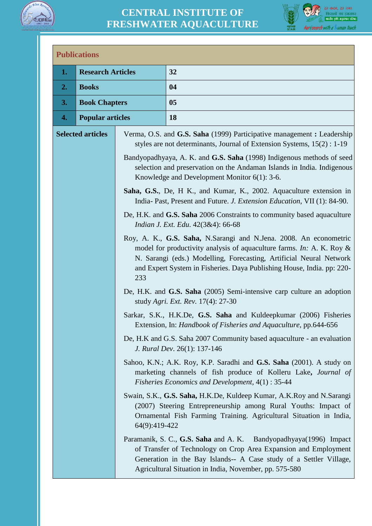



## **Publications 1. Research Articles 32 2. Books 04 3. Book Chapters 05 4. Popular articles 18 Selected articles** Verma, O.S. and **G.S. Saha** (1999) Participative management **:** Leadership styles are not determinants, Journal of Extension Systems, 15(2) : 1-19 Bandyopadhyaya, A. K. and **G.S. Saha** (1998) Indigenous methods of seed selection and preservation on the Andaman Islands in India. Indigenous Knowledge and Development Monitor 6(1): 3-6. **Saha, G.S.**, De, H K., and Kumar, K., 2002. Aquaculture extension in India- Past, Present and Future. *J. Extension Education*, VII (1): 84-90. De, H.K. and **G.S. Saha** 2006 Constraints to community based aquaculture *Indian J. Ext. Edu*. 42(3&4): 66-68 Roy, A. K., **G.S. Saha,** N.Sarangi and N.Jena. 2008. An econometric model for productivity analysis of aquaculture farms. *In:* A. K. Roy & N. Sarangi (eds.) Modelling, Forecasting, Artificial Neural Network and Expert System in Fisheries. Daya Publishing House, India. pp: 220- 233 De, H.K. and **G.S. Saha** (2005) Semi-intensive carp culture an adoption study *Agri. Ext. Rev.* 17(4): 27-30 Sarkar, S.K., H.K.De, **G.S. Saha** and Kuldeepkumar (2006) Fisheries Extension, In: *Handbook of Fisheries and Aquaculture*, pp.644-656 De, H.K and G.S. Saha 2007 Community based aquaculture - an evaluation *J. Rural Dev*. 26(1): 137-146 Sahoo, K.N.; A.K. Roy, K.P. Saradhi and **G.S. Saha** (2001). A study on marketing channels of fish produce of Kolleru Lake**,** *Journal of Fisheries Economics and Development,* 4(1) : 35-44 Swain, S.K., **G.S. Saha,** H.K.De, Kuldeep Kumar, A.K.Roy and N.Sarangi (2007) Steering Entrepreneurship among Rural Youths: Impact of Ornamental Fish Farming Training. Agricultural Situation in India, 64(9):419-422 Paramanik, S. C., **G.S. Saha** and A. K. Bandyopadhyaya(1996) Impact of Transfer of Technology on Crop Area Expansion and Employment Generation in the Bay Islands-- A Case study of a Settler Village, Agricultural Situation in India, November, pp. 575-580